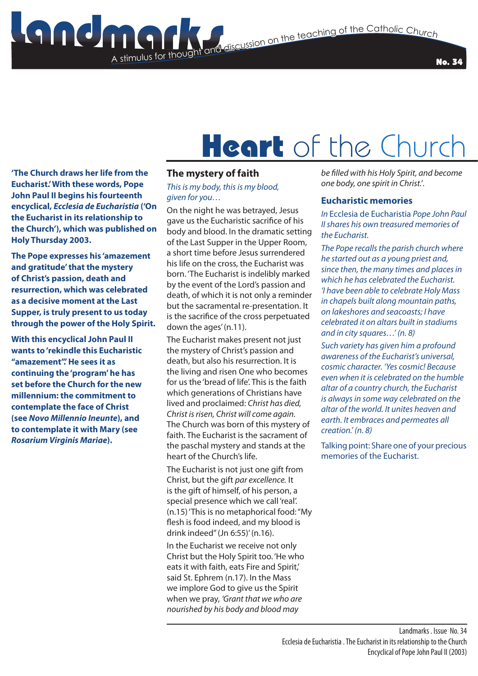**Stimulus for the Catholic Church**<br>The discussion on the teaching of the Catholic Church

No. 34

# Heart of the Church

**'The Church draws her life from the Eucharist.' With these words, Pope John Paul II begins his fourteenth encyclical,** *Ecclesia de Eucharistia* **('On the Eucharist in its relationship to the Church'), which was published on Holy Thursday 2003.**

**The Pope expresses his 'amazement and gratitude' that the mystery of Christ's passion, death and resurrection, which was celebrated as a decisive moment at the Last Supper, is truly present to us today through the power of the Holy Spirit.**

**With this encyclical John Paul II wants to 'rekindle this Eucharistic "amazement".' He sees it as continuing the 'program' he has set before the Church for the new millennium: the commitment to contemplate the face of Christ (see** *Novo Millennio Ineunte***), and to contemplate it with Mary (see**  *Rosarium Virginis Mariae***).** 

### **The mystery of faith**

A stimulus for thought

#### *This is my body, this is my blood, given for you…*

On the night he was betrayed, Jesus gave us the Eucharistic sacrifice of his body and blood. In the dramatic setting of the Last Supper in the Upper Room, a short time before Jesus surrendered his life on the cross, the Eucharist was born. 'The Eucharist is indelibly marked by the event of the Lord's passion and death, of which it is not only a reminder but the sacramental re-presentation. It is the sacrifice of the cross perpetuated down the ages' (n.11).

The Eucharist makes present not just the mystery of Christ's passion and death, but also his resurrection. It is the living and risen One who becomes for us the 'bread of life'. This is the faith which generations of Christians have lived and proclaimed: *Christ has died, Christ is risen, Christ will come again.*  The Church was born of this mystery of faith. The Eucharist is the sacrament of the paschal mystery and stands at the heart of the Church's life.

The Eucharist is not just one gift from Christ, but the gift *par excellence.* It is the gift of himself, of his person, a special presence which we call 'real'. (n.15) 'This is no metaphorical food: "My flesh is food indeed, and my blood is drink indeed" (Jn 6:55)' (n.16).

In the Eucharist we receive not only Christ but the Holy Spirit too. 'He who eats it with faith, eats Fire and Spirit,' said St. Ephrem (n.17). In the Mass we implore God to give us the Spirit when we pray, *'Grant that we who are nourished by his body and blood may* 

*be filled with his Holy Spirit, and become one body, one spirit in Christ.'*.

#### **Eucharistic memories**

*In* Ecclesia de Eucharistia *Pope John Paul II shares his own treasured memories of the Eucharist.*

*The Pope recalls the parish church where he started out as a young priest and, since then, the many times and places in which he has celebrated the Eucharist. 'I have been able to celebrate Holy Mass in chapels built along mountain paths, on lakeshores and seacoasts; I have celebrated it on altars built in stadiums and in city squares…' (n. 8)*

*Such variety has given him a profound awareness of the Eucharist's universal, cosmic character. 'Yes cosmic! Because even when it is celebrated on the humble altar of a country church, the Eucharist is always in some way celebrated on the altar of the world. It unites heaven and earth. It embraces and permeates all creation.' (n. 8)*

Talking point: Share one of your precious memories of the Eucharist.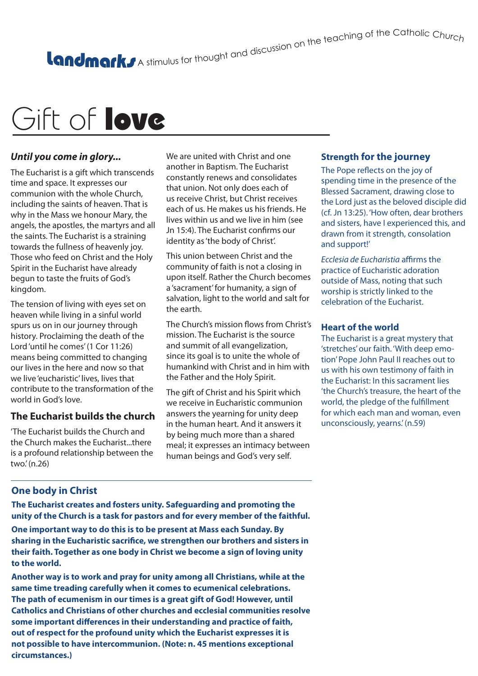A stimulus for thought and discussion on the teaching of the Catholic Churc<sub>h</sub>

## Gift of **love**

## *Until you come in glory...*

The Eucharist is a gift which transcends time and space. It expresses our communion with the whole Church, including the saints of heaven. That is why in the Mass we honour Mary, the angels, the apostles, the martyrs and all the saints. The Eucharist is a straining towards the fullness of heavenly joy. Those who feed on Christ and the Holy Spirit in the Eucharist have already begun to taste the fruits of God's kingdom.

The tension of living with eyes set on heaven while living in a sinful world spurs us on in our journey through history. Proclaiming the death of the Lord 'until he comes' (1 Cor 11:26) means being committed to changing our lives in the here and now so that we live 'eucharistic' lives, lives that contribute to the transformation of the world in God's love.

## **The Eucharist builds the church**

'The Eucharist builds the Church and the Church makes the Eucharist...there is a profound relationship between the two.' (n.26)

We are united with Christ and one another in Baptism. The Eucharist constantly renews and consolidates that union. Not only does each of us receive Christ, but Christ receives each of us. He makes us his friends. He lives within us and we live in him (see Jn 15:4). The Eucharist confirms our identity as 'the body of Christ'.

This union between Christ and the community of faith is not a closing in upon itself. Rather the Church becomes a 'sacrament' for humanity, a sign of salvation, light to the world and salt for the earth.

The Church's mission flows from Christ's mission. The Eucharist is the source and summit of all evangelization, since its goal is to unite the whole of humankind with Christ and in him with the Father and the Holy Spirit.

The gift of Christ and his Spirit which we receive in Eucharistic communion answers the yearning for unity deep in the human heart. And it answers it by being much more than a shared meal; it expresses an intimacy between human beings and God's very self.

## **Strength for the journey**

The Pope reflects on the joy of spending time in the presence of the Blessed Sacrament, drawing close to the Lord just as the beloved disciple did (cf. Jn 13:25). 'How often, dear brothers and sisters, have I experienced this, and drawn from it strength, consolation and support!'

*Ecclesia de Eucharistia* affirms the practice of Eucharistic adoration outside of Mass, noting that such worship is strictly linked to the celebration of the Eucharist.

### **Heart of the world**

The Eucharist is a great mystery that 'stretches' our faith. 'With deep emotion' Pope John Paul II reaches out to us with his own testimony of faith in the Eucharist: In this sacrament lies 'the Church's treasure, the heart of the world, the pledge of the fulfillment for which each man and woman, even unconsciously, yearns.' (n.59)

## **One body in Christ**

**The Eucharist creates and fosters unity. Safeguarding and promoting the unity of the Church is a task for pastors and for every member of the faithful. One important way to do this is to be present at Mass each Sunday. By sharing in the Eucharistic sacrifice, we strengthen our brothers and sisters in their faith. Together as one body in Christ we become a sign of loving unity to the world.** 

**Another way is to work and pray for unity among all Christians, while at the same time treading carefully when it comes to ecumenical celebrations. The path of ecumenism in our times is a great gift of God! However, until Catholics and Christians of other churches and ecclesial communities resolve some important differences in their understanding and practice of faith, out of respect for the profound unity which the Eucharist expresses it is not possible to have intercommunion. (Note: n. 45 mentions exceptional circumstances.)**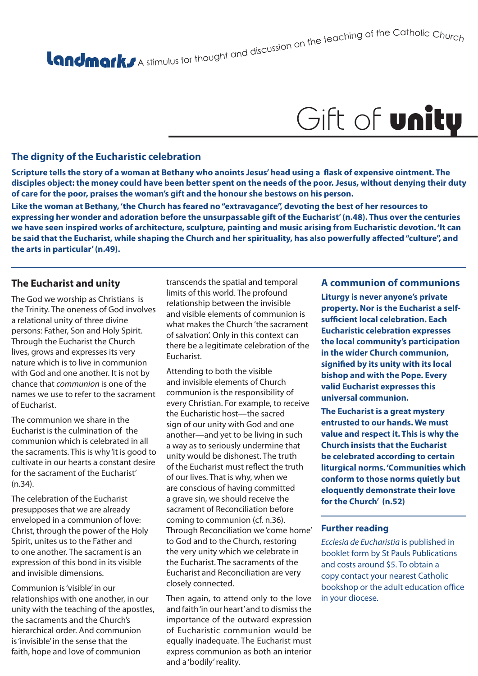Gift of **unity** 

A stimulus for thought and discussion on the teaching of the Catholic Churc<sub>h</sub>

## **The dignity of the Eucharistic celebration**

**Scripture tells the story of a woman at Bethany who anoints Jesus' head using a flask of expensive ointment. The disciples object: the money could have been better spent on the needs of the poor. Jesus, without denying their duty of care for the poor, praises the woman's gift and the honour she bestows on his person.** 

**Like the woman at Bethany, 'the Church has feared no "extravagance", devoting the best of her resources to expressing her wonder and adoration before the unsurpassable gift of the Eucharist' (n.48). Thus over the centuries we have seen inspired works of architecture, sculpture, painting and music arising from Eucharistic devotion. 'It can be said that the Eucharist, while shaping the Church and her spirituality, has also powerfully affected "culture", and the arts in particular' (n.49).**

### **The Eucharist and unity**

The God we worship as Christians is the Trinity. The oneness of God involves a relational unity of three divine persons: Father, Son and Holy Spirit. Through the Eucharist the Church lives, grows and expresses its very nature which is to live in communion with God and one another. It is not by chance that *communion* is one of the names we use to refer to the sacrament of Eucharist.

The communion we share in the Eucharist is the culmination of the communion which is celebrated in all the sacraments. This is why 'it is good to cultivate in our hearts a constant desire for the sacrament of the Eucharist' (n.34).

The celebration of the Eucharist presupposes that we are already enveloped in a communion of love: Christ, through the power of the Holy Spirit, unites us to the Father and to one another. The sacrament is an expression of this bond in its visible and invisible dimensions.

Communion is 'visible' in our relationships with one another, in our unity with the teaching of the apostles, the sacraments and the Church's hierarchical order. And communion is 'invisible' in the sense that the faith, hope and love of communion

transcends the spatial and temporal limits of this world. The profound relationship between the invisible and visible elements of communion is what makes the Church 'the sacrament of salvation'. Only in this context can there be a legitimate celebration of the Eucharist.

Attending to both the visible and invisible elements of Church communion is the responsibility of every Christian. For example, to receive the Eucharistic host—the sacred sign of our unity with God and one another—and yet to be living in such a way as to seriously undermine that unity would be dishonest. The truth of the Eucharist must reflect the truth of our lives. That is why, when we are conscious of having committed a grave sin, we should receive the sacrament of Reconciliation before coming to communion (cf. n.36). Through Reconciliation we 'come home' to God and to the Church, restoring the very unity which we celebrate in the Eucharist. The sacraments of the Eucharist and Reconciliation are very closely connected.

Then again, to attend only to the love and faith 'in our heart' and to dismiss the importance of the outward expression of Eucharistic communion would be equally inadequate. The Eucharist must express communion as both an interior and a 'bodily' reality.

#### **A communion of communions**

**Liturgy is never anyone's private property. Nor is the Eucharist a selfsufficient local celebration. Each Eucharistic celebration expresses the local community's participation in the wider Church communion, signified by its unity with its local bishop and with the Pope. Every valid Eucharist expresses this universal communion.** 

**The Eucharist is a great mystery entrusted to our hands. We must value and respect it. This is why the Church insists that the Eucharist be celebrated according to certain liturgical norms. 'Communities which conform to those norms quietly but eloquently demonstrate their love for the Church' (n.52)**

#### **Further reading**

*Ecclesia de Eucharistia* is published in booklet form by St Pauls Publications and costs around \$5. To obtain a copy contact your nearest Catholic bookshop or the adult education office in your diocese.